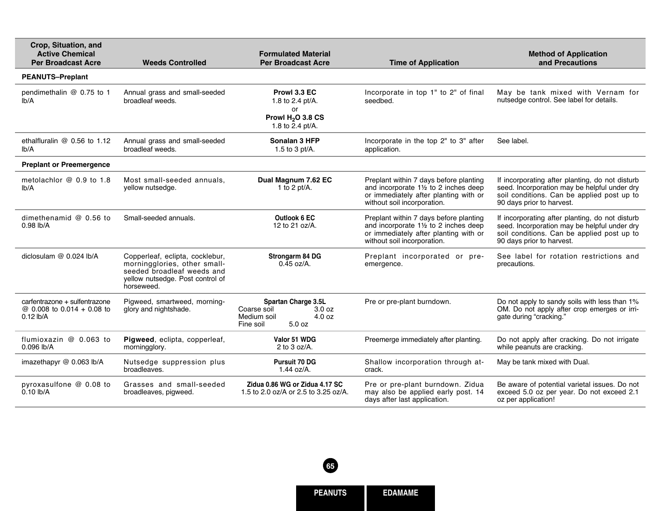| Crop, Situation, and<br><b>Active Chemical</b><br><b>Per Broadcast Acre</b> | <b>Weeds Controlled</b>                                                                                                                         | <b>Formulated Material</b><br><b>Per Broadcast Acre</b>                                      | <b>Time of Application</b>                                                                                                                                        | <b>Method of Application</b><br>and Precautions                                                                                                                            |
|-----------------------------------------------------------------------------|-------------------------------------------------------------------------------------------------------------------------------------------------|----------------------------------------------------------------------------------------------|-------------------------------------------------------------------------------------------------------------------------------------------------------------------|----------------------------------------------------------------------------------------------------------------------------------------------------------------------------|
| <b>PEANUTS-Preplant</b>                                                     |                                                                                                                                                 |                                                                                              |                                                                                                                                                                   |                                                                                                                                                                            |
| pendimethalin @ 0.75 to 1<br>Ib/A                                           | Annual grass and small-seeded<br>broadleaf weeds.                                                                                               | Prowl 3.3 EC<br>1.8 to 2.4 pt/A.<br>or<br>Prowl H <sub>2</sub> O 3.8 CS<br>1.8 to 2.4 pt/A.  | Incorporate in top 1" to 2" of final<br>seedbed.                                                                                                                  | May be tank mixed with Vernam for<br>nutsedge control. See label for details.                                                                                              |
| ethalfluralin $@$ 0.56 to 1.12<br>lb/A                                      | Annual grass and small-seeded<br>broadleaf weeds.                                                                                               | Sonalan 3 HFP<br>1.5 to 3 pt/A.                                                              | Incorporate in the top 2" to 3" after<br>application.                                                                                                             | See label.                                                                                                                                                                 |
| <b>Preplant or Preemergence</b>                                             |                                                                                                                                                 |                                                                                              |                                                                                                                                                                   |                                                                                                                                                                            |
| metolachlor @ 0.9 to 1.8<br>Ib/A                                            | Most small-seeded annuals.<br>yellow nutsedge.                                                                                                  | Dual Magnum 7.62 EC<br>1 to 2 pt/A.                                                          | Preplant within 7 days before planting<br>and incorporate $1\frac{1}{2}$ to 2 inches deep<br>or immediately after planting with or<br>without soil incorporation. | If incorporating after planting, do not disturb<br>seed. Incorporation may be helpful under dry<br>soil conditions. Can be applied post up to<br>90 days prior to harvest. |
| dimethenamid @ 0.56 to<br>$0.98$ lb/A                                       | Small-seeded annuals.                                                                                                                           | Outlook 6 EC<br>12 to 21 oz/A.                                                               | Preplant within 7 days before planting<br>and incorporate $1\frac{1}{2}$ to 2 inches deep<br>or immediately after planting with or<br>without soil incorporation. | If incorporating after planting, do not disturb<br>seed. Incorporation may be helpful under dry<br>soil conditions. Can be applied post up to<br>90 days prior to harvest. |
| diclosulam $@$ 0.024 lb/A                                                   | Copperleaf, eclipta, cocklebur,<br>morningglories, other small-<br>seeded broadleaf weeds and<br>yellow nutsedge. Post control of<br>horseweed. | Strongarm 84 DG<br>$0.45$ oz/A.                                                              | Preplant incorporated or pre-<br>emergence.                                                                                                                       | See label for rotation restrictions and<br>precautions.                                                                                                                    |
| carfentrazone + sulfentrazone<br>@ 0.008 to 0.014 + 0.08 to<br>$0.12$ lb/A  | Pigweed, smartweed, morning-<br>glory and nightshade.                                                                                           | Spartan Charge 3.5L<br>Coarse soil<br>3.0 oz<br>Medium soil<br>4.0 oz<br>5.0 oz<br>Fine soil | Pre or pre-plant burndown.                                                                                                                                        | Do not apply to sandy soils with less than 1%<br>OM. Do not apply after crop emerges or irri-<br>gate during "cracking."                                                   |
| flumioxazin @ 0.063 to<br>0.096 lb/A                                        | Pigweed, eclipta, copperleaf,<br>morningglory.                                                                                                  | Valor 51 WDG<br>2 to $3 oz/A$ .                                                              | Preemerge immediately after planting.                                                                                                                             | Do not apply after cracking. Do not irrigate<br>while peanuts are cracking.                                                                                                |
| imazethapyr @ 0.063 lb/A                                                    | Nutsedge suppression plus<br>broadleaves.                                                                                                       | <b>Pursuit 70 DG</b><br>1.44 oz/A.                                                           | Shallow incorporation through at-<br>crack.                                                                                                                       | May be tank mixed with Dual.                                                                                                                                               |
| pyroxasulfone @ 0.08 to<br>$0.10$ lb/A                                      | Grasses and small-seeded<br>broadleaves, pigweed.                                                                                               | Zidua 0.86 WG or Zidua 4.17 SC<br>1.5 to 2.0 oz/A or 2.5 to 3.25 oz/A.                       | Pre or pre-plant burndown. Zidua<br>may also be applied early post. 14<br>days after last application.                                                            | Be aware of potential varietal issues. Do not<br>exceed 5.0 oz per year. Do not exceed 2.1<br>oz per application!                                                          |

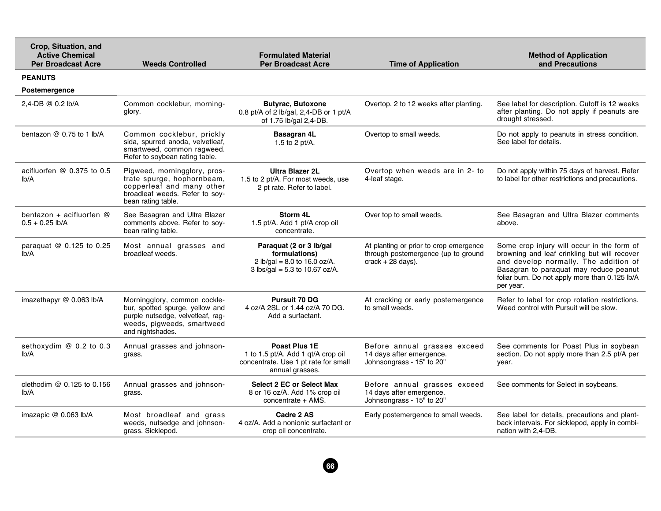| Crop, Situation, and<br><b>Active Chemical</b><br><b>Per Broadcast Acre</b> | <b>Weeds Controlled</b>                                                                                                                                | <b>Formulated Material</b><br><b>Per Broadcast Acre</b>                                                        | <b>Time of Application</b>                                                                                  | <b>Method of Application</b><br>and Precautions                                                                                                                                                                                              |
|-----------------------------------------------------------------------------|--------------------------------------------------------------------------------------------------------------------------------------------------------|----------------------------------------------------------------------------------------------------------------|-------------------------------------------------------------------------------------------------------------|----------------------------------------------------------------------------------------------------------------------------------------------------------------------------------------------------------------------------------------------|
| <b>PEANUTS</b>                                                              |                                                                                                                                                        |                                                                                                                |                                                                                                             |                                                                                                                                                                                                                                              |
| <b>Postemergence</b>                                                        |                                                                                                                                                        |                                                                                                                |                                                                                                             |                                                                                                                                                                                                                                              |
| 2.4-DB @ $0.2$ lb/A                                                         | Common cocklebur, morning-<br>glory.                                                                                                                   | <b>Butyrac, Butoxone</b><br>0.8 pt/A of 2 lb/gal, 2,4-DB or 1 pt/A<br>of 1.75 lb/gal 2,4-DB.                   | Overtop. 2 to 12 weeks after planting.                                                                      | See label for description. Cutoff is 12 weeks<br>after planting. Do not apply if peanuts are<br>drought stressed.                                                                                                                            |
| bentazon $@$ 0.75 to 1 lb/A                                                 | Common cocklebur, prickly<br>sida, spurred anoda, velvetleaf,<br>smartweed, common ragweed.<br>Refer to soybean rating table.                          | <b>Basagran 4L</b><br>1.5 to 2 pt/A.                                                                           | Overtop to small weeds.                                                                                     | Do not apply to peanuts in stress condition.<br>See label for details.                                                                                                                                                                       |
| acifluorfen $@$ 0.375 to 0.5<br>Ib/A                                        | Pigweed, morningglory, pros-<br>trate spurge, hophornbeam,<br>copperleaf and many other<br>broadleaf weeds. Refer to soy-<br>bean rating table.        | <b>Ultra Blazer 2L</b><br>1.5 to 2 pt/A. For most weeds, use<br>2 pt rate. Refer to label.                     | Overtop when weeds are in 2- to<br>4-leaf stage.                                                            | Do not apply within 75 days of harvest. Refer<br>to label for other restrictions and precautions.                                                                                                                                            |
| bentazon + acifluorfen @<br>$0.5 + 0.25$ lb/A                               | See Basagran and Ultra Blazer<br>comments above. Refer to soy-<br>bean rating table.                                                                   | Storm 4L<br>1.5 pt/A. Add 1 pt/A crop oil<br>concentrate.                                                      | Over top to small weeds.                                                                                    | See Basagran and Ultra Blazer comments<br>above.                                                                                                                                                                                             |
| paraquat @ 0.125 to 0.25<br>Ib/A                                            | Most annual grasses and<br>broadleaf weeds.                                                                                                            | Paraquat (2 or 3 lb/gal<br>formulations)<br>2 lb/gal = $8.0$ to 16.0 oz/A.<br>$3$ lbs/gal = 5.3 to 10.67 oz/A. | At planting or prior to crop emergence<br>through postemergence (up to ground<br>$crack + 28 \text{ days}.$ | Some crop injury will occur in the form of<br>browning and leaf crinkling but will recover<br>and develop normally. The addition of<br>Basagran to paraquat may reduce peanut<br>foliar burn. Do not apply more than 0.125 lb/A<br>per year. |
| imazethapyr @ 0.063 lb/A                                                    | Morningglory, common cockle-<br>bur, spotted spurge, yellow and<br>purple nutsedge, velvetleaf, rag-<br>weeds, pigweeds, smartweed<br>and nightshades. | <b>Pursuit 70 DG</b><br>4 oz/A 2SL or 1.44 oz/A 70 DG.<br>Add a surfactant.                                    | At cracking or early postemergence<br>to small weeds.                                                       | Refer to label for crop rotation restrictions.<br>Weed control with Pursuit will be slow.                                                                                                                                                    |
| sethoxydim @ 0.2 to 0.3<br>lb/A                                             | Annual grasses and johnson-<br>grass.                                                                                                                  | Poast Plus 1E<br>1 to 1.5 pt/A. Add 1 gt/A crop oil<br>concentrate. Use 1 pt rate for small<br>annual grasses. | Before annual grasses exceed<br>14 days after emergence.<br>Johnsongrass - 15" to 20"                       | See comments for Poast Plus in soybean<br>section. Do not apply more than 2.5 pt/A per<br>year.                                                                                                                                              |
| clethodim $@$ 0.125 to 0.156<br>Ib/A                                        | Annual grasses and johnson-<br>grass.                                                                                                                  | <b>Select 2 EC or Select Max</b><br>8 or 16 oz/A. Add 1% crop oil<br>concentrate + AMS.                        | Before annual grasses exceed<br>14 days after emergence.<br>Johnsongrass - 15" to 20"                       | See comments for Select in soybeans.                                                                                                                                                                                                         |
| imazapic @ 0.063 lb/A                                                       | Most broadleaf and grass<br>weeds, nutsedge and johnson-<br>grass. Sicklepod.                                                                          | Cadre 2 AS<br>4 oz/A. Add a nonionic surfactant or<br>crop oil concentrate.                                    | Early postemergence to small weeds.                                                                         | See label for details, precautions and plant-<br>back intervals. For sicklepod, apply in combi-<br>nation with 2,4-DB.                                                                                                                       |

**66**